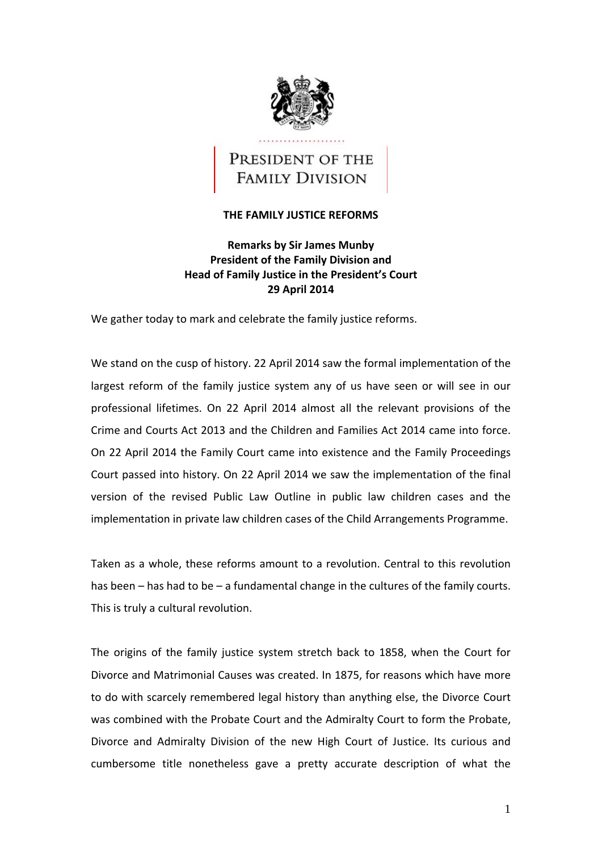

# PRESIDENT OF THE **FAMILY DIVISION**

## **THE FAMILY JUSTICE REFORMS**

## **Remarks by Sir James Munby President of the Family Division and Head of Family Justice in the President's Court 29 April 2014**

We gather today to mark and celebrate the family justice reforms.

 We stand on the cusp of history. 22 April 2014 saw the formal implementation of the largest reform of the family justice system any of us have seen or will see in our professional lifetimes. On 22 April 2014 almost all the relevant provisions of the Crime and Courts Act 2013 and the Children and Families Act 2014 came into force. On 22 April 2014 the Family Court came into existence and the Family Proceedings Court passed into history. On 22 April 2014 we saw the implementation of the final version of the revised Public Law Outline in public law children cases and the implementation in private law children cases of the Child Arrangements Programme.

 Taken as a whole, these reforms amount to a revolution. Central to this revolution has been – has had to be – a fundamental change in the cultures of the family courts. This is truly a cultural revolution.

 The origins of the family justice system stretch back to 1858, when the Court for Divorce and Matrimonial Causes was created. In 1875, for reasons which have more to do with scarcely remembered legal history than anything else, the Divorce Court was combined with the Probate Court and the Admiralty Court to form the Probate, Divorce and Admiralty Division of the new High Court of Justice. Its curious and cumbersome title nonetheless gave a pretty accurate description of what the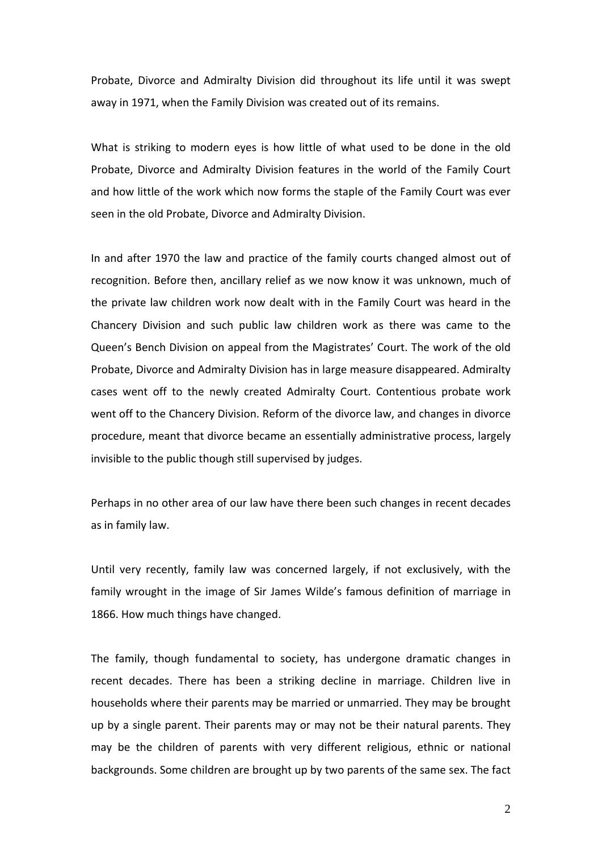Probate, Divorce and Admiralty Division did throughout its life until it was swept away in 1971, when the Family Division was created out of its remains.

 What is striking to modern eyes is how little of what used to be done in the old Probate, Divorce and Admiralty Division features in the world of the Family Court and how little of the work which now forms the staple of the Family Court was ever seen in the old Probate, Divorce and Admiralty Division.

 In and after 1970 the law and practice of the family courts changed almost out of recognition. Before then, ancillary relief as we now know it was unknown, much of the private law children work now dealt with in the Family Court was heard in the Chancery Division and such public law children work as there was came to the Queen's Bench Division on appeal from the Magistrates' Court. The work of the old Probate, Divorce and Admiralty Division has in large measure disappeared. Admiralty cases went off to the newly created Admiralty Court. Contentious probate work went off to the Chancery Division. Reform of the divorce law, and changes in divorce procedure, meant that divorce became an essentially administrative process, largely invisible to the public though still supervised by judges.

 Perhaps in no other area of our law have there been such changes in recent decades as in family law.

 Until very recently, family law was concerned largely, if not exclusively, with the family wrought in the image of Sir James Wilde's famous definition of marriage in 1866. How much things have changed.

 The family, though fundamental to society, has undergone dramatic changes in recent decades. There has been a striking decline in marriage. Children live in households where their parents may be married or unmarried. They may be brought up by a single parent. Their parents may or may not be their natural parents. They may be the children of parents with very different religious, ethnic or national backgrounds. Some children are brought up by two parents of the same sex. The fact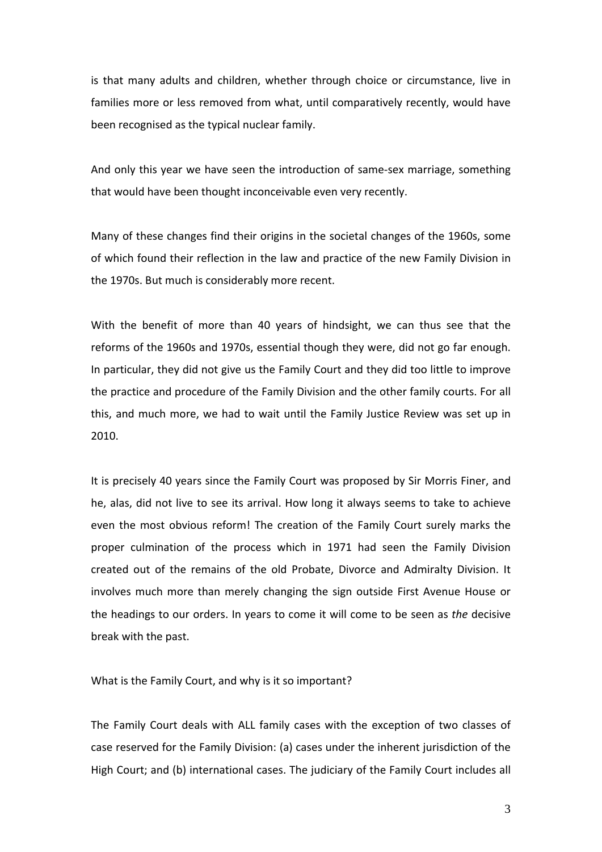is that many adults and children, whether through choice or circumstance, live in families more or less removed from what, until comparatively recently, would have been recognised as the typical nuclear family.

 And only this year we have seen the introduction of same‐sex marriage, something that would have been thought inconceivable even very recently.

 Many of these changes find their origins in the societal changes of the 1960s, some of which found their reflection in the law and practice of the new Family Division in the 1970s. But much is considerably more recent.

 With the benefit of more than 40 years of hindsight, we can thus see that the reforms of the 1960s and 1970s, essential though they were, did not go far enough. In particular, they did not give us the Family Court and they did too little to improve the practice and procedure of the Family Division and the other family courts. For all this, and much more, we had to wait until the Family Justice Review was set up in 2010.

 It is precisely 40 years since the Family Court was proposed by Sir Morris Finer, and he, alas, did not live to see its arrival. How long it always seems to take to achieve even the most obvious reform! The creation of the Family Court surely marks the proper culmination of the process which in 1971 had seen the Family Division created out of the remains of the old Probate, Divorce and Admiralty Division. It involves much more than merely changing the sign outside First Avenue House or the headings to our orders. In years to come it will come to be seen as *the* decisive break with the past.

What is the Family Court, and why is it so important?

 The Family Court deals with ALL family cases with the exception of two classes of case reserved for the Family Division: (a) cases under the inherent jurisdiction of the High Court; and (b) international cases. The judiciary of the Family Court includes all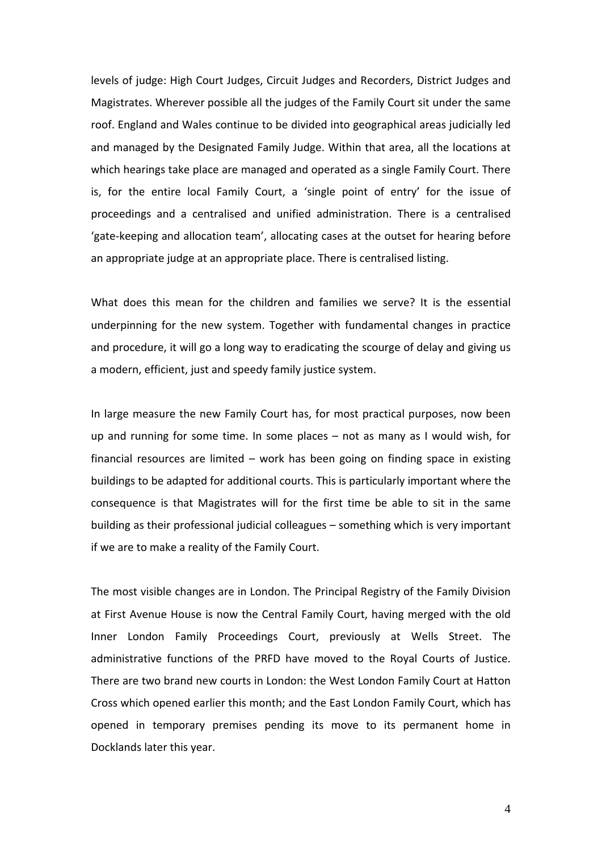levels of judge: High Court Judges, Circuit Judges and Recorders, District Judges and Magistrates. Wherever possible all the judges of the Family Court sit under the same roof. England and Wales continue to be divided into geographical areas judicially led and managed by the Designated Family Judge. Within that area, all the locations at which hearings take place are managed and operated as a single Family Court. There is, for the entire local Family Court, a 'single point of entry' for the issue of proceedings and a centralised and unified administration. There is a centralised 'gate‐keeping and allocation team', allocating cases at the outset for hearing before an appropriate judge at an appropriate place. There is centralised listing.

 What does this mean for the children and families we serve? It is the essential underpinning for the new system. Together with fundamental changes in practice and procedure, it will go a long way to eradicating the scourge of delay and giving us a modern, efficient, just and speedy family justice system.

 In large measure the new Family Court has, for most practical purposes, now been up and running for some time. In some places – not as many as I would wish, for financial resources are limited – work has been going on finding space in existing buildings to be adapted for additional courts. This is particularly important where the consequence is that Magistrates will for the first time be able to sit in the same building as their professional judicial colleagues – something which is very important if we are to make a reality of the Family Court.

 The most visible changes are in London. The Principal Registry of the Family Division at First Avenue House is now the Central Family Court, having merged with the old Inner London Family Proceedings Court, previously at Wells Street. The administrative functions of the PRFD have moved to the Royal Courts of Justice. There are two brand new courts in London: the West London Family Court at Hatton Cross which opened earlier this month; and the East London Family Court, which has opened in temporary premises pending its move to its permanent home in Docklands later this year.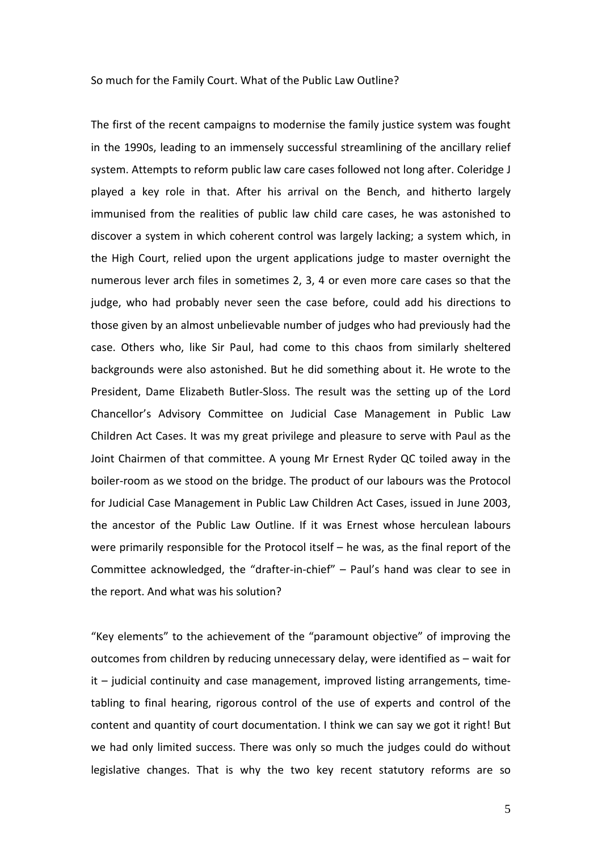#### So much for the Family Court. What of the Public Law Outline?

 The first of the recent campaigns to modernise the family justice system was fought in the 1990s, leading to an immensely successful streamlining of the ancillary relief system. Attempts to reform public law care cases followed not long after. Coleridge J played a key role in that. After his arrival on the Bench, and hitherto largely immunised from the realities of public law child care cases, he was astonished to discover a system in which coherent control was largely lacking; a system which, in the High Court, relied upon the urgent applications judge to master overnight the numerous lever arch files in sometimes 2, 3, 4 or even more care cases so that the judge, who had probably never seen the case before, could add his directions to those given by an almost unbelievable number of judges who had previously had the case. Others who, like Sir Paul, had come to this chaos from similarly sheltered backgrounds were also astonished. But he did something about it. He wrote to the President, Dame Elizabeth Butler‐Sloss. The result was the setting up of the Lord Chancellor's Advisory Committee on Judicial Case Management in Public Law Children Act Cases. It was my great privilege and pleasure to serve with Paul as the Joint Chairmen of that committee. A young Mr Ernest Ryder QC toiled away in the boiler‐room as we stood on the bridge. The product of our labours was the Protocol for Judicial Case Management in Public Law Children Act Cases, issued in June 2003, the ancestor of the Public Law Outline. If it was Ernest whose herculean labours were primarily responsible for the Protocol itself – he was, as the final report of the Committee acknowledged, the "drafter‐in‐chief" – Paul's hand was clear to see in the report. And what was his solution?

 "Key elements" to the achievement of the "paramount objective" of improving the outcomes from children by reducing unnecessary delay, were identified as – wait for it – judicial continuity and case management, improved listing arrangements, time‐ tabling to final hearing, rigorous control of the use of experts and control of the content and quantity of court documentation. I think we can say we got it right! But we had only limited success. There was only so much the judges could do without legislative changes. That is why the two key recent statutory reforms are so

5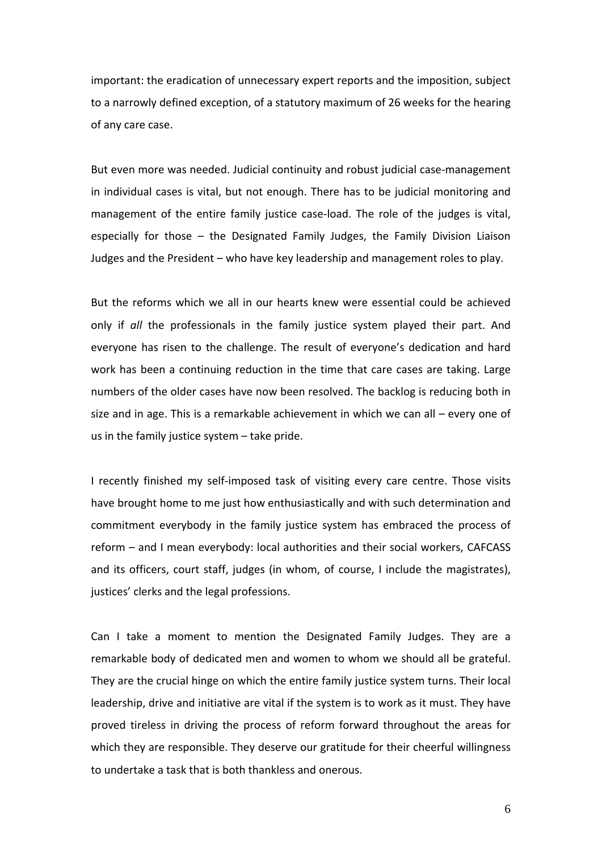important: the eradication of unnecessary expert reports and the imposition, subject to a narrowly defined exception, of a statutory maximum of 26 weeks for the hearing of any care case.

 But even more was needed. Judicial continuity and robust judicial case‐management in individual cases is vital, but not enough. There has to be judicial monitoring and management of the entire family justice case‐load. The role of the judges is vital, especially for those – the Designated Family Judges, the Family Division Liaison Judges and the President – who have key leadership and management roles to play.

 But the reforms which we all in our hearts knew were essential could be achieved only if *all* the professionals in the family justice system played their part. And everyone has risen to the challenge. The result of everyone's dedication and hard work has been a continuing reduction in the time that care cases are taking. Large numbers of the older cases have now been resolved. The backlog is reducing both in size and in age. This is a remarkable achievement in which we can all – every one of us in the family justice system – take pride.

 I recently finished my self‐imposed task of visiting every care centre. Those visits have brought home to me just how enthusiastically and with such determination and commitment everybody in the family justice system has embraced the process of reform – and I mean everybody: local authorities and their social workers, CAFCASS and its officers, court staff, judges (in whom, of course, I include the magistrates), justices' clerks and the legal professions.

 Can I take a moment to mention the Designated Family Judges. They are a remarkable body of dedicated men and women to whom we should all be grateful. They are the crucial hinge on which the entire family justice system turns. Their local leadership, drive and initiative are vital if the system is to work as it must. They have proved tireless in driving the process of reform forward throughout the areas for which they are responsible. They deserve our gratitude for their cheerful willingness to undertake a task that is both thankless and onerous.

6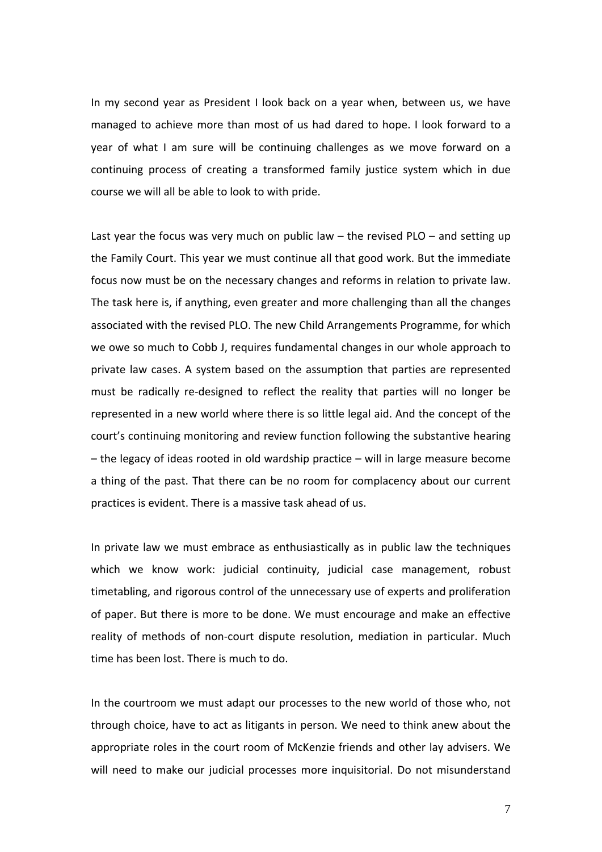In my second year as President I look back on a year when, between us, we have managed to achieve more than most of us had dared to hope. I look forward to a year of what I am sure will be continuing challenges as we move forward on a continuing process of creating a transformed family justice system which in due course we will all be able to look to with pride.

 Last year the focus was very much on public law – the revised PLO – and setting up the Family Court. This year we must continue all that good work. But the immediate focus now must be on the necessary changes and reforms in relation to private law. The task here is, if anything, even greater and more challenging than all the changes associated with the revised PLO. The new Child Arrangements Programme, for which we owe so much to Cobb J, requires fundamental changes in our whole approach to private law cases. A system based on the assumption that parties are represented must be radically re‐designed to reflect the reality that parties will no longer be represented in a new world where there is so little legal aid. And the concept of the court's continuing monitoring and review function following the substantive hearing – the legacy of ideas rooted in old wardship practice – will in large measure become a thing of the past. That there can be no room for complacency about our current practices is evident. There is a massive task ahead of us.

 In private law we must embrace as enthusiastically as in public law the techniques which we know work: judicial continuity, judicial case management, robust timetabling, and rigorous control of the unnecessary use of experts and proliferation of paper. But there is more to be done. We must encourage and make an effective reality of methods of non‐court dispute resolution, mediation in particular. Much time has been lost. There is much to do.

 In the courtroom we must adapt our processes to the new world of those who, not through choice, have to act as litigants in person. We need to think anew about the appropriate roles in the court room of McKenzie friends and other lay advisers. We will need to make our judicial processes more inquisitorial. Do not misunderstand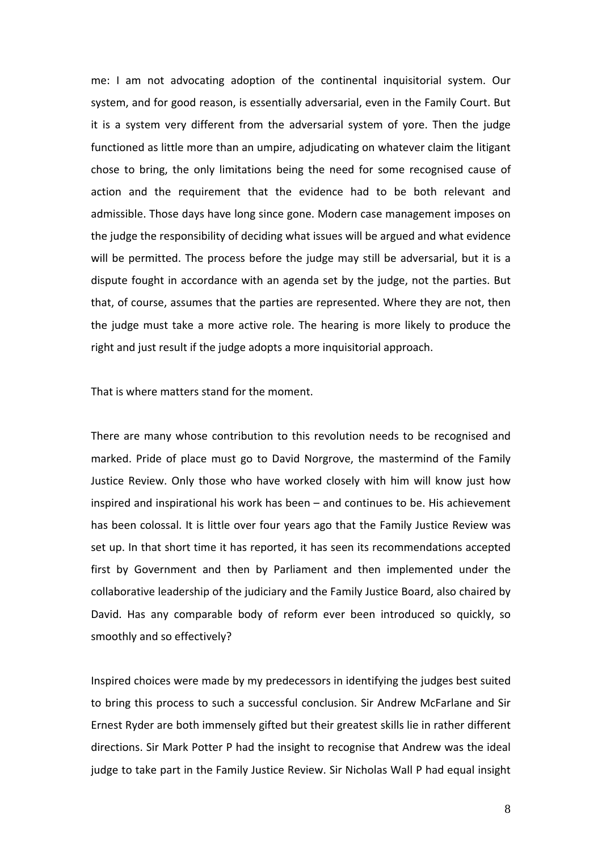me: I am not advocating adoption of the continental inquisitorial system. Our system, and for good reason, is essentially adversarial, even in the Family Court. But it is a system very different from the adversarial system of yore. Then the judge functioned as little more than an umpire, adjudicating on whatever claim the litigant chose to bring, the only limitations being the need for some recognised cause of action and the requirement that the evidence had to be both relevant and admissible. Those days have long since gone. Modern case management imposes on the judge the responsibility of deciding what issues will be argued and what evidence will be permitted. The process before the judge may still be adversarial, but it is a dispute fought in accordance with an agenda set by the judge, not the parties. But that, of course, assumes that the parties are represented. Where they are not, then the judge must take a more active role. The hearing is more likely to produce the right and just result if the judge adopts a more inquisitorial approach.

That is where matters stand for the moment.

 There are many whose contribution to this revolution needs to be recognised and marked. Pride of place must go to David Norgrove, the mastermind of the Family Justice Review. Only those who have worked closely with him will know just how inspired and inspirational his work has been – and continues to be. His achievement has been colossal. It is little over four years ago that the Family Justice Review was set up. In that short time it has reported, it has seen its recommendations accepted first by Government and then by Parliament and then implemented under the collaborative leadership of the judiciary and the Family Justice Board, also chaired by David. Has any comparable body of reform ever been introduced so quickly, so smoothly and so effectively?

 Inspired choices were made by my predecessors in identifying the judges best suited to bring this process to such a successful conclusion. Sir Andrew McFarlane and Sir Ernest Ryder are both immensely gifted but their greatest skills lie in rather different directions. Sir Mark Potter P had the insight to recognise that Andrew was the ideal judge to take part in the Family Justice Review. Sir Nicholas Wall P had equal insight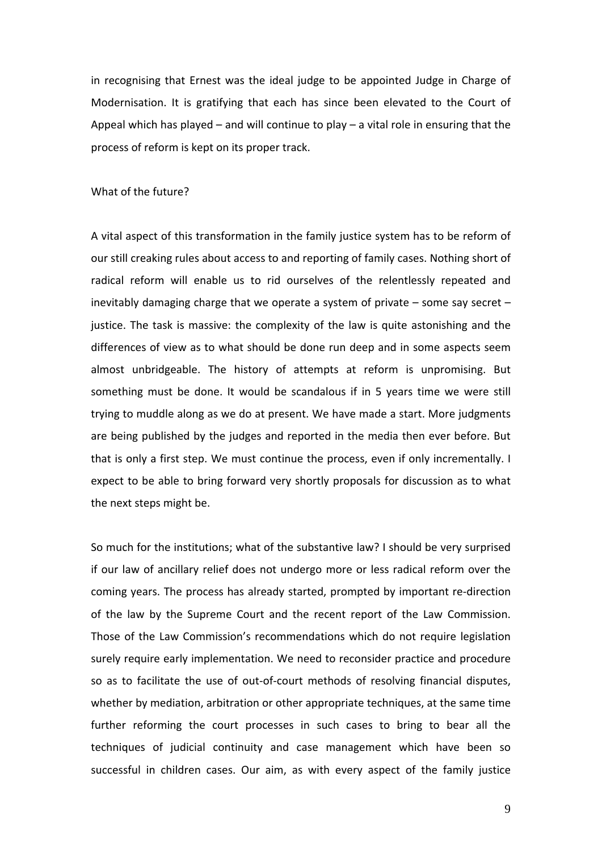in recognising that Ernest was the ideal judge to be appointed Judge in Charge of Modernisation. It is gratifying that each has since been elevated to the Court of Appeal which has played – and will continue to play – a vital role in ensuring that the process of reform is kept on its proper track.

### What of the future?

 A vital aspect of this transformation in the family justice system has to be reform of our still creaking rules about access to and reporting of family cases. Nothing short of radical reform will enable us to rid ourselves of the relentlessly repeated and inevitably damaging charge that we operate a system of private – some say secret – justice. The task is massive: the complexity of the law is quite astonishing and the differences of view as to what should be done run deep and in some aspects seem almost unbridgeable. The history of attempts at reform is unpromising. But something must be done. It would be scandalous if in 5 years time we were still trying to muddle along as we do at present. We have made a start. More judgments are being published by the judges and reported in the media then ever before. But that is only a first step. We must continue the process, even if only incrementally. I expect to be able to bring forward very shortly proposals for discussion as to what the next steps might be.

 So much for the institutions; what of the substantive law? I should be very surprised if our law of ancillary relief does not undergo more or less radical reform over the coming years. The process has already started, prompted by important re‐direction of the law by the Supreme Court and the recent report of the Law Commission. Those of the Law Commission's recommendations which do not require legislation surely require early implementation. We need to reconsider practice and procedure so as to facilitate the use of out‐of‐court methods of resolving financial disputes, whether by mediation, arbitration or other appropriate techniques, at the same time further reforming the court processes in such cases to bring to bear all the techniques of judicial continuity and case management which have been so successful in children cases. Our aim, as with every aspect of the family justice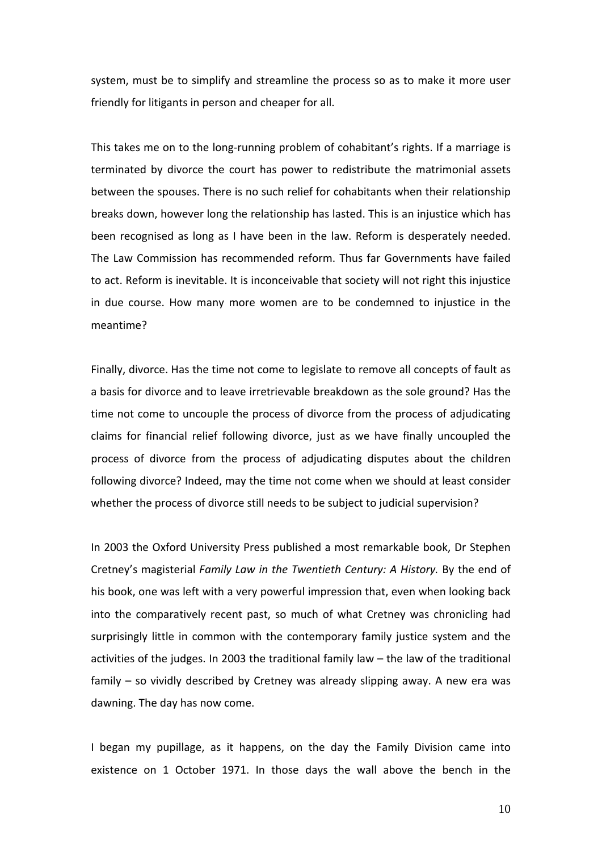system, must be to simplify and streamline the process so as to make it more user friendly for litigants in person and cheaper for all.

 This takes me on to the long‐running problem of cohabitant's rights. If a marriage is terminated by divorce the court has power to redistribute the matrimonial assets between the spouses. There is no such relief for cohabitants when their relationship breaks down, however long the relationship has lasted. This is an injustice which has been recognised as long as I have been in the law. Reform is desperately needed. The Law Commission has recommended reform. Thus far Governments have failed to act. Reform is inevitable. It is inconceivable that society will not right this injustice in due course. How many more women are to be condemned to injustice in the meantime?

 Finally, divorce. Has the time not come to legislate to remove all concepts of fault as a basis for divorce and to leave irretrievable breakdown as the sole ground? Has the time not come to uncouple the process of divorce from the process of adjudicating claims for financial relief following divorce, just as we have finally uncoupled the process of divorce from the process of adjudicating disputes about the children following divorce? Indeed, may the time not come when we should at least consider whether the process of divorce still needs to be subject to judicial supervision?

 In 2003 the Oxford University Press published a most remarkable book, Dr Stephen  Cretney's magisterial *Family Law in the Twentieth Century: A History.* By the end of his book, one was left with a very powerful impression that, even when looking back into the comparatively recent past, so much of what Cretney was chronicling had surprisingly little in common with the contemporary family justice system and the activities of the judges. In 2003 the traditional family law – the law of the traditional family – so vividly described by Cretney was already slipping away. A new era was dawning. The day has now come.

 I began my pupillage, as it happens, on the day the Family Division came into existence on 1 October 1971. In those days the wall above the bench in the